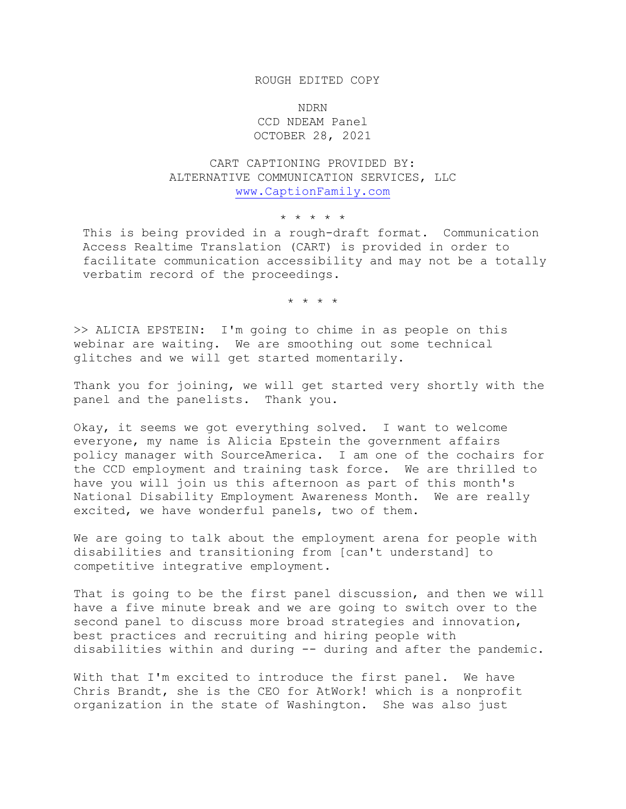## ROUGH EDITED COPY

NDRN CCD NDEAM Panel OCTOBER 28, 2021

CART CAPTIONING PROVIDED BY: ALTERNATIVE COMMUNICATION SERVICES, LLC [www.CaptionFamily.com](http://www.captionfamily.com/)

\* \* \* \* \*

This is being provided in a rough-draft format. Communication Access Realtime Translation (CART) is provided in order to facilitate communication accessibility and may not be a totally verbatim record of the proceedings.

\* \* \* \*

>> ALICIA EPSTEIN: I'm going to chime in as people on this webinar are waiting. We are smoothing out some technical glitches and we will get started momentarily.

Thank you for joining, we will get started very shortly with the panel and the panelists. Thank you.

Okay, it seems we got everything solved. I want to welcome everyone, my name is Alicia Epstein the government affairs policy manager with SourceAmerica. I am one of the cochairs for the CCD employment and training task force. We are thrilled to have you will join us this afternoon as part of this month's National Disability Employment Awareness Month. We are really excited, we have wonderful panels, two of them.

We are going to talk about the employment arena for people with disabilities and transitioning from [can't understand] to competitive integrative employment.

That is going to be the first panel discussion, and then we will have a five minute break and we are going to switch over to the second panel to discuss more broad strategies and innovation, best practices and recruiting and hiring people with disabilities within and during -- during and after the pandemic.

With that I'm excited to introduce the first panel. We have Chris Brandt, she is the CEO for AtWork! which is a nonprofit organization in the state of Washington. She was also just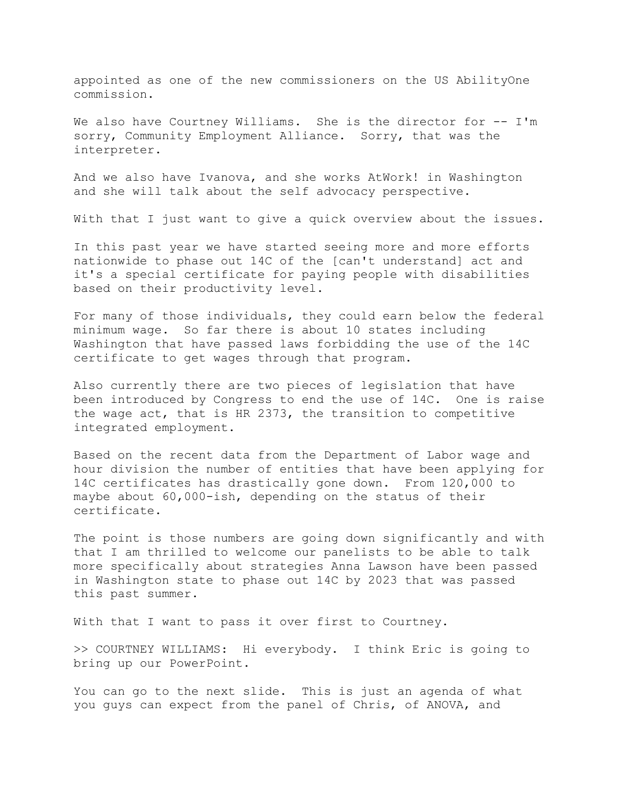appointed as one of the new commissioners on the US AbilityOne commission.

We also have Courtney Williams. She is the director for -- I'm sorry, Community Employment Alliance. Sorry, that was the interpreter.

And we also have Ivanova, and she works AtWork! in Washington and she will talk about the self advocacy perspective.

With that I just want to give a quick overview about the issues.

In this past year we have started seeing more and more efforts nationwide to phase out 14C of the [can't understand] act and it's a special certificate for paying people with disabilities based on their productivity level.

For many of those individuals, they could earn below the federal minimum wage. So far there is about 10 states including Washington that have passed laws forbidding the use of the 14C certificate to get wages through that program.

Also currently there are two pieces of legislation that have been introduced by Congress to end the use of 14C. One is raise the wage act, that is HR 2373, the transition to competitive integrated employment.

Based on the recent data from the Department of Labor wage and hour division the number of entities that have been applying for 14C certificates has drastically gone down. From 120,000 to maybe about 60,000-ish, depending on the status of their certificate.

The point is those numbers are going down significantly and with that I am thrilled to welcome our panelists to be able to talk more specifically about strategies Anna Lawson have been passed in Washington state to phase out 14C by 2023 that was passed this past summer.

With that I want to pass it over first to Courtney.

>> COURTNEY WILLIAMS: Hi everybody. I think Eric is going to bring up our PowerPoint.

You can go to the next slide. This is just an agenda of what you guys can expect from the panel of Chris, of ANOVA, and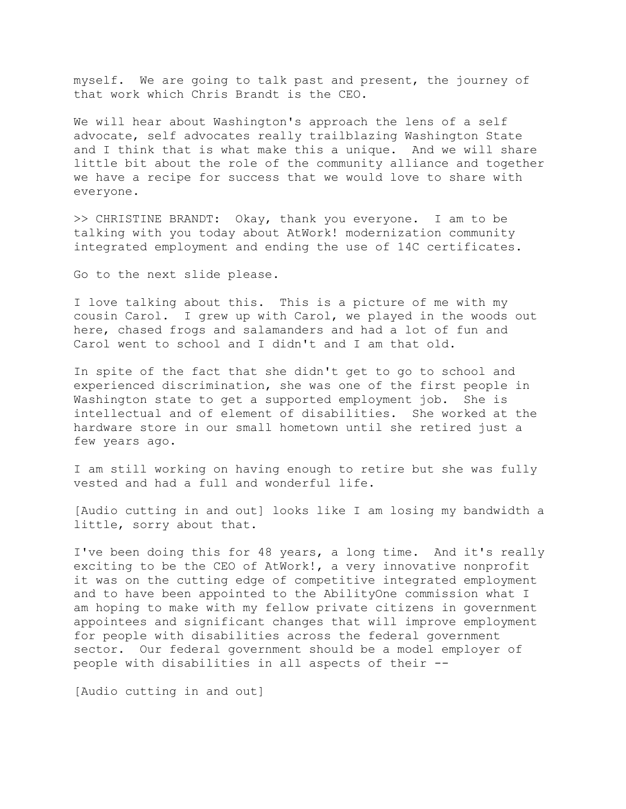myself. We are going to talk past and present, the journey of that work which Chris Brandt is the CEO.

We will hear about Washington's approach the lens of a self advocate, self advocates really trailblazing Washington State and I think that is what make this a unique. And we will share little bit about the role of the community alliance and together we have a recipe for success that we would love to share with everyone.

>> CHRISTINE BRANDT: Okay, thank you everyone. I am to be talking with you today about AtWork! modernization community integrated employment and ending the use of 14C certificates.

Go to the next slide please.

I love talking about this. This is a picture of me with my cousin Carol. I grew up with Carol, we played in the woods out here, chased frogs and salamanders and had a lot of fun and Carol went to school and I didn't and I am that old.

In spite of the fact that she didn't get to go to school and experienced discrimination, she was one of the first people in Washington state to get a supported employment job. She is intellectual and of element of disabilities. She worked at the hardware store in our small hometown until she retired just a few years ago.

I am still working on having enough to retire but she was fully vested and had a full and wonderful life.

[Audio cutting in and out] looks like I am losing my bandwidth a little, sorry about that.

I've been doing this for 48 years, a long time. And it's really exciting to be the CEO of AtWork!, a very innovative nonprofit it was on the cutting edge of competitive integrated employment and to have been appointed to the AbilityOne commission what I am hoping to make with my fellow private citizens in government appointees and significant changes that will improve employment for people with disabilities across the federal government sector. Our federal government should be a model employer of people with disabilities in all aspects of their --

[Audio cutting in and out]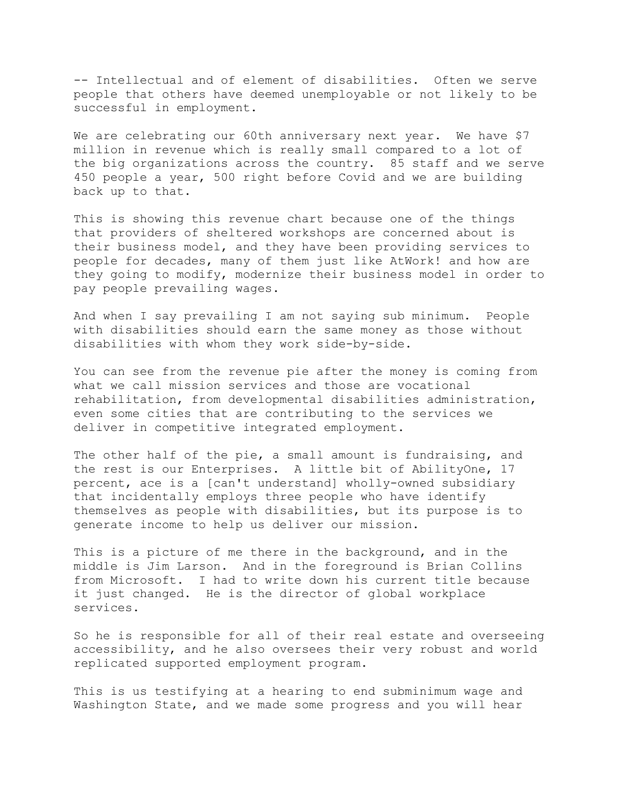-- Intellectual and of element of disabilities. Often we serve people that others have deemed unemployable or not likely to be successful in employment.

We are celebrating our 60th anniversary next year. We have \$7 million in revenue which is really small compared to a lot of the big organizations across the country. 85 staff and we serve 450 people a year, 500 right before Covid and we are building back up to that.

This is showing this revenue chart because one of the things that providers of sheltered workshops are concerned about is their business model, and they have been providing services to people for decades, many of them just like AtWork! and how are they going to modify, modernize their business model in order to pay people prevailing wages.

And when I say prevailing I am not saying sub minimum. People with disabilities should earn the same money as those without disabilities with whom they work side-by-side.

You can see from the revenue pie after the money is coming from what we call mission services and those are vocational rehabilitation, from developmental disabilities administration, even some cities that are contributing to the services we deliver in competitive integrated employment.

The other half of the pie, a small amount is fundraising, and the rest is our Enterprises. A little bit of AbilityOne, 17 percent, ace is a [can't understand] wholly-owned subsidiary that incidentally employs three people who have identify themselves as people with disabilities, but its purpose is to generate income to help us deliver our mission.

This is a picture of me there in the background, and in the middle is Jim Larson. And in the foreground is Brian Collins from Microsoft. I had to write down his current title because it just changed. He is the director of global workplace services.

So he is responsible for all of their real estate and overseeing accessibility, and he also oversees their very robust and world replicated supported employment program.

This is us testifying at a hearing to end subminimum wage and Washington State, and we made some progress and you will hear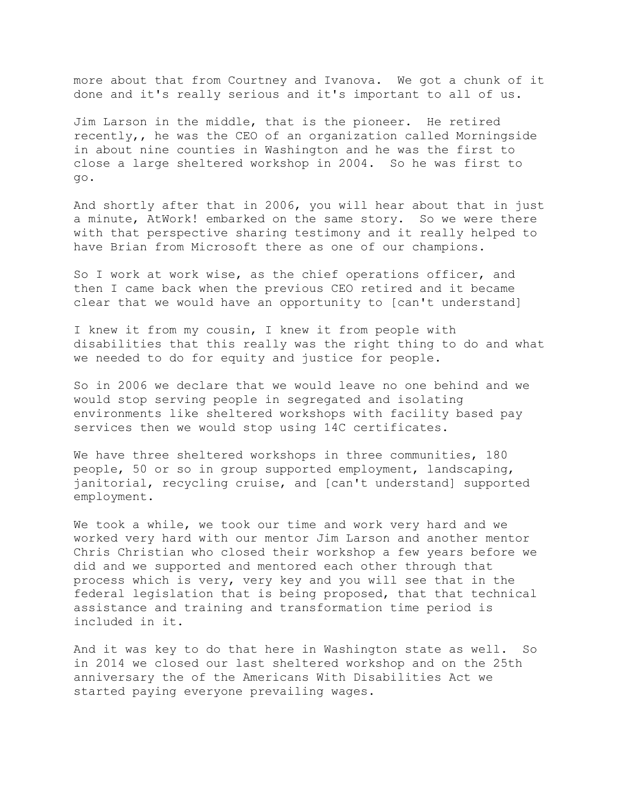more about that from Courtney and Ivanova. We got a chunk of it done and it's really serious and it's important to all of us.

Jim Larson in the middle, that is the pioneer. He retired recently,, he was the CEO of an organization called Morningside in about nine counties in Washington and he was the first to close a large sheltered workshop in 2004. So he was first to go.

And shortly after that in 2006, you will hear about that in just a minute, AtWork! embarked on the same story. So we were there with that perspective sharing testimony and it really helped to have Brian from Microsoft there as one of our champions.

So I work at work wise, as the chief operations officer, and then I came back when the previous CEO retired and it became clear that we would have an opportunity to [can't understand]

I knew it from my cousin, I knew it from people with disabilities that this really was the right thing to do and what we needed to do for equity and justice for people.

So in 2006 we declare that we would leave no one behind and we would stop serving people in segregated and isolating environments like sheltered workshops with facility based pay services then we would stop using 14C certificates.

We have three sheltered workshops in three communities, 180 people, 50 or so in group supported employment, landscaping, janitorial, recycling cruise, and [can't understand] supported employment.

We took a while, we took our time and work very hard and we worked very hard with our mentor Jim Larson and another mentor Chris Christian who closed their workshop a few years before we did and we supported and mentored each other through that process which is very, very key and you will see that in the federal legislation that is being proposed, that that technical assistance and training and transformation time period is included in it.

And it was key to do that here in Washington state as well. So in 2014 we closed our last sheltered workshop and on the 25th anniversary the of the Americans With Disabilities Act we started paying everyone prevailing wages.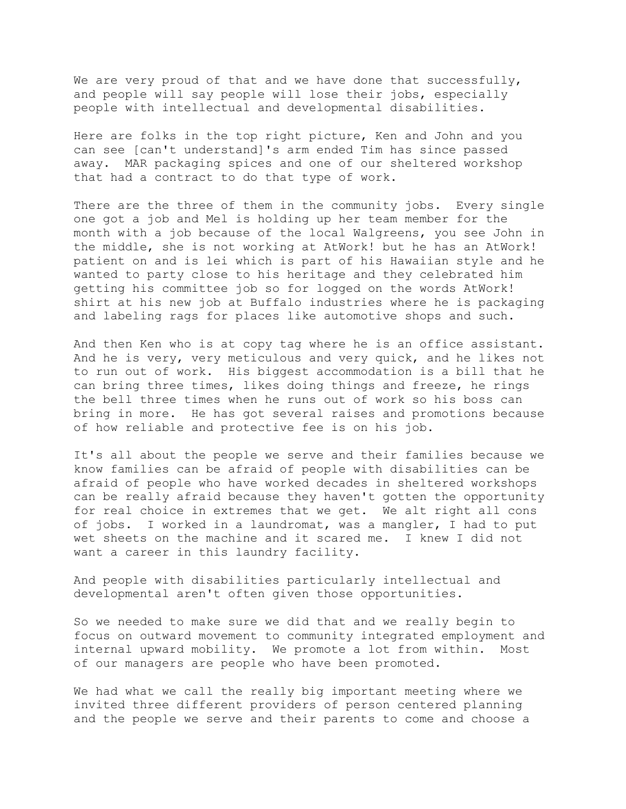We are very proud of that and we have done that successfully, and people will say people will lose their jobs, especially people with intellectual and developmental disabilities.

Here are folks in the top right picture, Ken and John and you can see [can't understand]'s arm ended Tim has since passed away. MAR packaging spices and one of our sheltered workshop that had a contract to do that type of work.

There are the three of them in the community jobs. Every single one got a job and Mel is holding up her team member for the month with a job because of the local Walgreens, you see John in the middle, she is not working at AtWork! but he has an AtWork! patient on and is lei which is part of his Hawaiian style and he wanted to party close to his heritage and they celebrated him getting his committee job so for logged on the words AtWork! shirt at his new job at Buffalo industries where he is packaging and labeling rags for places like automotive shops and such.

And then Ken who is at copy tag where he is an office assistant. And he is very, very meticulous and very quick, and he likes not to run out of work. His biggest accommodation is a bill that he can bring three times, likes doing things and freeze, he rings the bell three times when he runs out of work so his boss can bring in more. He has got several raises and promotions because of how reliable and protective fee is on his job.

It's all about the people we serve and their families because we know families can be afraid of people with disabilities can be afraid of people who have worked decades in sheltered workshops can be really afraid because they haven't gotten the opportunity for real choice in extremes that we get. We alt right all cons of jobs. I worked in a laundromat, was a mangler, I had to put wet sheets on the machine and it scared me. I knew I did not want a career in this laundry facility.

And people with disabilities particularly intellectual and developmental aren't often given those opportunities.

So we needed to make sure we did that and we really begin to focus on outward movement to community integrated employment and internal upward mobility. We promote a lot from within. Most of our managers are people who have been promoted.

We had what we call the really big important meeting where we invited three different providers of person centered planning and the people we serve and their parents to come and choose a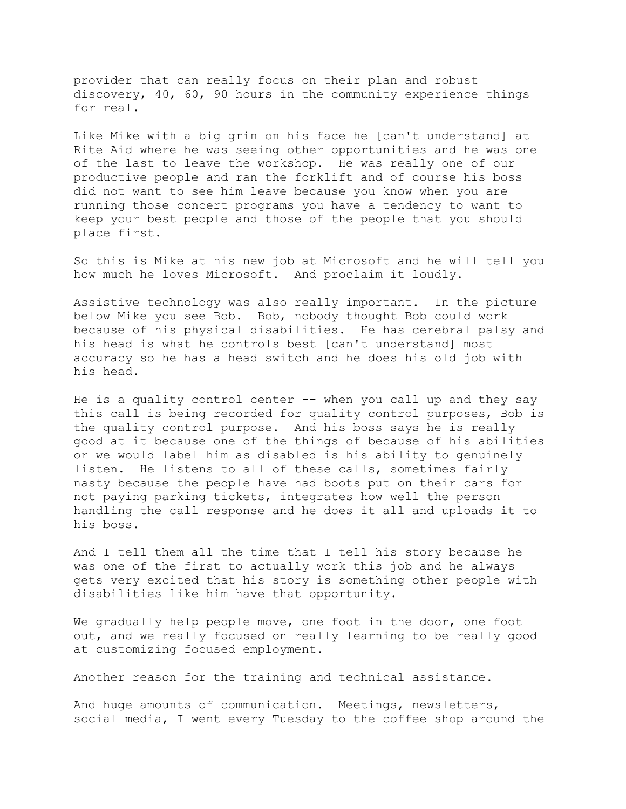provider that can really focus on their plan and robust discovery, 40, 60, 90 hours in the community experience things for real.

Like Mike with a big grin on his face he [can't understand] at Rite Aid where he was seeing other opportunities and he was one of the last to leave the workshop. He was really one of our productive people and ran the forklift and of course his boss did not want to see him leave because you know when you are running those concert programs you have a tendency to want to keep your best people and those of the people that you should place first.

So this is Mike at his new job at Microsoft and he will tell you how much he loves Microsoft. And proclaim it loudly.

Assistive technology was also really important. In the picture below Mike you see Bob. Bob, nobody thought Bob could work because of his physical disabilities. He has cerebral palsy and his head is what he controls best [can't understand] most accuracy so he has a head switch and he does his old job with his head.

He is a quality control center -- when you call up and they say this call is being recorded for quality control purposes, Bob is the quality control purpose. And his boss says he is really good at it because one of the things of because of his abilities or we would label him as disabled is his ability to genuinely listen. He listens to all of these calls, sometimes fairly nasty because the people have had boots put on their cars for not paying parking tickets, integrates how well the person handling the call response and he does it all and uploads it to his boss.

And I tell them all the time that I tell his story because he was one of the first to actually work this job and he always gets very excited that his story is something other people with disabilities like him have that opportunity.

We gradually help people move, one foot in the door, one foot out, and we really focused on really learning to be really good at customizing focused employment.

Another reason for the training and technical assistance.

And huge amounts of communication. Meetings, newsletters, social media, I went every Tuesday to the coffee shop around the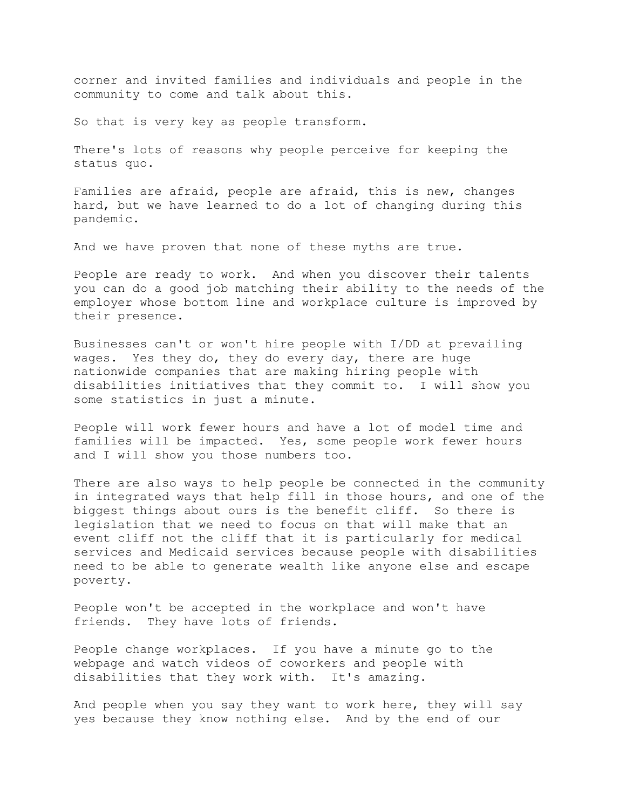corner and invited families and individuals and people in the community to come and talk about this.

So that is very key as people transform.

There's lots of reasons why people perceive for keeping the status quo.

Families are afraid, people are afraid, this is new, changes hard, but we have learned to do a lot of changing during this pandemic.

And we have proven that none of these myths are true.

People are ready to work. And when you discover their talents you can do a good job matching their ability to the needs of the employer whose bottom line and workplace culture is improved by their presence.

Businesses can't or won't hire people with I/DD at prevailing wages. Yes they do, they do every day, there are huge nationwide companies that are making hiring people with disabilities initiatives that they commit to. I will show you some statistics in just a minute.

People will work fewer hours and have a lot of model time and families will be impacted. Yes, some people work fewer hours and I will show you those numbers too.

There are also ways to help people be connected in the community in integrated ways that help fill in those hours, and one of the biggest things about ours is the benefit cliff. So there is legislation that we need to focus on that will make that an event cliff not the cliff that it is particularly for medical services and Medicaid services because people with disabilities need to be able to generate wealth like anyone else and escape poverty.

People won't be accepted in the workplace and won't have friends. They have lots of friends.

People change workplaces. If you have a minute go to the webpage and watch videos of coworkers and people with disabilities that they work with. It's amazing.

And people when you say they want to work here, they will say yes because they know nothing else. And by the end of our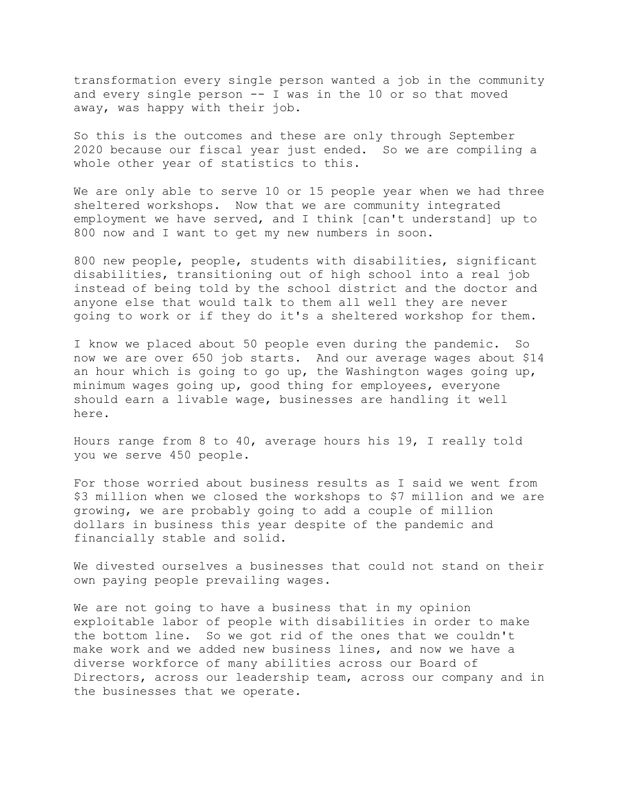transformation every single person wanted a job in the community and every single person  $--$  I was in the 10 or so that moved away, was happy with their job.

So this is the outcomes and these are only through September 2020 because our fiscal year just ended. So we are compiling a whole other year of statistics to this.

We are only able to serve 10 or 15 people year when we had three sheltered workshops. Now that we are community integrated employment we have served, and I think [can't understand] up to 800 now and I want to get my new numbers in soon.

800 new people, people, students with disabilities, significant disabilities, transitioning out of high school into a real job instead of being told by the school district and the doctor and anyone else that would talk to them all well they are never going to work or if they do it's a sheltered workshop for them.

I know we placed about 50 people even during the pandemic. So now we are over 650 job starts. And our average wages about \$14 an hour which is going to go up, the Washington wages going up, minimum wages going up, good thing for employees, everyone should earn a livable wage, businesses are handling it well here.

Hours range from 8 to 40, average hours his 19, I really told you we serve 450 people.

For those worried about business results as I said we went from \$3 million when we closed the workshops to \$7 million and we are growing, we are probably going to add a couple of million dollars in business this year despite of the pandemic and financially stable and solid.

We divested ourselves a businesses that could not stand on their own paying people prevailing wages.

We are not going to have a business that in my opinion exploitable labor of people with disabilities in order to make the bottom line. So we got rid of the ones that we couldn't make work and we added new business lines, and now we have a diverse workforce of many abilities across our Board of Directors, across our leadership team, across our company and in the businesses that we operate.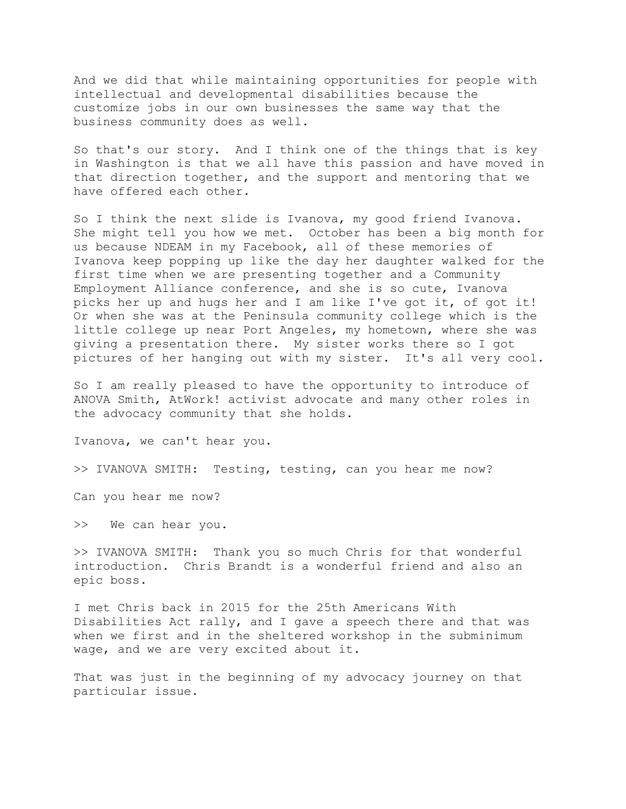And we did that while maintaining opportunities for people with intellectual and developmental disabilities because the customize jobs in our own businesses the same way that the business community does as well.

So that's our story. And I think one of the things that is key in Washington is that we all have this passion and have moved in that direction together, and the support and mentoring that we have offered each other.

So I think the next slide is Ivanova, my good friend Ivanova. She might tell you how we met. October has been a big month for us because NDEAM in my Facebook, all of these memories of Ivanova keep popping up like the day her daughter walked for the first time when we are presenting together and a Community Employment Alliance conference, and she is so cute, Ivanova picks her up and hugs her and I am like I've got it, of got it! Or when she was at the Peninsula community college which is the little college up near Port Angeles, my hometown, where she was giving a presentation there. My sister works there so I got pictures of her hanging out with my sister. It's all very cool.

So I am really pleased to have the opportunity to introduce of ANOVA Smith, AtWork! activist advocate and many other roles in the advocacy community that she holds.

Ivanova, we can't hear you.

>> IVANOVA SMITH: Testing, testing, can you hear me now?

Can you hear me now?

>> We can hear you.

>> IVANOVA SMITH: Thank you so much Chris for that wonderful introduction. Chris Brandt is a wonderful friend and also an epic boss.

I met Chris back in 2015 for the 25th Americans With Disabilities Act rally, and I gave a speech there and that was when we first and in the sheltered workshop in the subminimum wage, and we are very excited about it.

That was just in the beginning of my advocacy journey on that particular issue.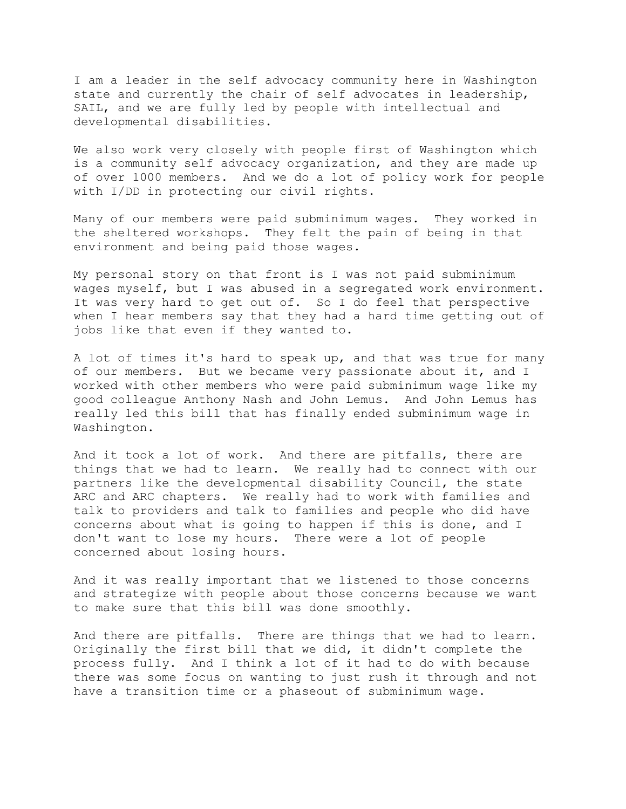I am a leader in the self advocacy community here in Washington state and currently the chair of self advocates in leadership, SAIL, and we are fully led by people with intellectual and developmental disabilities.

We also work very closely with people first of Washington which is a community self advocacy organization, and they are made up of over 1000 members. And we do a lot of policy work for people with I/DD in protecting our civil rights.

Many of our members were paid subminimum wages. They worked in the sheltered workshops. They felt the pain of being in that environment and being paid those wages.

My personal story on that front is I was not paid subminimum wages myself, but I was abused in a segregated work environment. It was very hard to get out of. So I do feel that perspective when I hear members say that they had a hard time getting out of jobs like that even if they wanted to.

A lot of times it's hard to speak up, and that was true for many of our members. But we became very passionate about it, and I worked with other members who were paid subminimum wage like my good colleague Anthony Nash and John Lemus. And John Lemus has really led this bill that has finally ended subminimum wage in Washington.

And it took a lot of work. And there are pitfalls, there are things that we had to learn. We really had to connect with our partners like the developmental disability Council, the state ARC and ARC chapters. We really had to work with families and talk to providers and talk to families and people who did have concerns about what is going to happen if this is done, and I don't want to lose my hours. There were a lot of people concerned about losing hours.

And it was really important that we listened to those concerns and strategize with people about those concerns because we want to make sure that this bill was done smoothly.

And there are pitfalls. There are things that we had to learn. Originally the first bill that we did, it didn't complete the process fully. And I think a lot of it had to do with because there was some focus on wanting to just rush it through and not have a transition time or a phaseout of subminimum wage.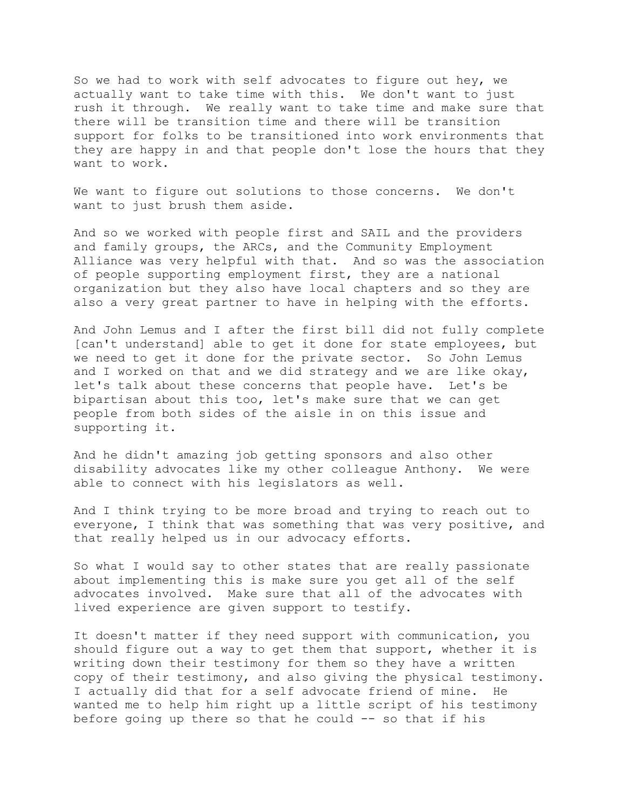So we had to work with self advocates to figure out hey, we actually want to take time with this. We don't want to just rush it through. We really want to take time and make sure that there will be transition time and there will be transition support for folks to be transitioned into work environments that they are happy in and that people don't lose the hours that they want to work.

We want to figure out solutions to those concerns. We don't want to just brush them aside.

And so we worked with people first and SAIL and the providers and family groups, the ARCs, and the Community Employment Alliance was very helpful with that. And so was the association of people supporting employment first, they are a national organization but they also have local chapters and so they are also a very great partner to have in helping with the efforts.

And John Lemus and I after the first bill did not fully complete [can't understand] able to get it done for state employees, but we need to get it done for the private sector. So John Lemus and I worked on that and we did strategy and we are like okay, let's talk about these concerns that people have. Let's be bipartisan about this too, let's make sure that we can get people from both sides of the aisle in on this issue and supporting it.

And he didn't amazing job getting sponsors and also other disability advocates like my other colleague Anthony. We were able to connect with his legislators as well.

And I think trying to be more broad and trying to reach out to everyone, I think that was something that was very positive, and that really helped us in our advocacy efforts.

So what I would say to other states that are really passionate about implementing this is make sure you get all of the self advocates involved. Make sure that all of the advocates with lived experience are given support to testify.

It doesn't matter if they need support with communication, you should figure out a way to get them that support, whether it is writing down their testimony for them so they have a written copy of their testimony, and also giving the physical testimony. I actually did that for a self advocate friend of mine. He wanted me to help him right up a little script of his testimony before going up there so that he could -- so that if his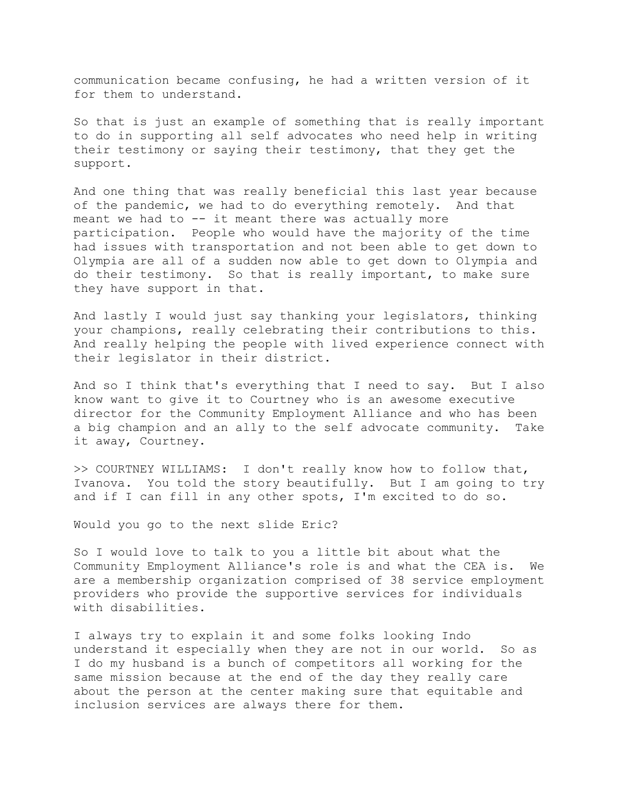communication became confusing, he had a written version of it for them to understand.

So that is just an example of something that is really important to do in supporting all self advocates who need help in writing their testimony or saying their testimony, that they get the support.

And one thing that was really beneficial this last year because of the pandemic, we had to do everything remotely. And that meant we had to -- it meant there was actually more participation. People who would have the majority of the time had issues with transportation and not been able to get down to Olympia are all of a sudden now able to get down to Olympia and do their testimony. So that is really important, to make sure they have support in that.

And lastly I would just say thanking your legislators, thinking your champions, really celebrating their contributions to this. And really helping the people with lived experience connect with their legislator in their district.

And so I think that's everything that I need to say. But I also know want to give it to Courtney who is an awesome executive director for the Community Employment Alliance and who has been a big champion and an ally to the self advocate community. Take it away, Courtney.

>> COURTNEY WILLIAMS: I don't really know how to follow that, Ivanova. You told the story beautifully. But I am going to try and if I can fill in any other spots, I'm excited to do so.

Would you go to the next slide Eric?

So I would love to talk to you a little bit about what the Community Employment Alliance's role is and what the CEA is. We are a membership organization comprised of 38 service employment providers who provide the supportive services for individuals with disabilities.

I always try to explain it and some folks looking Indo understand it especially when they are not in our world. So as I do my husband is a bunch of competitors all working for the same mission because at the end of the day they really care about the person at the center making sure that equitable and inclusion services are always there for them.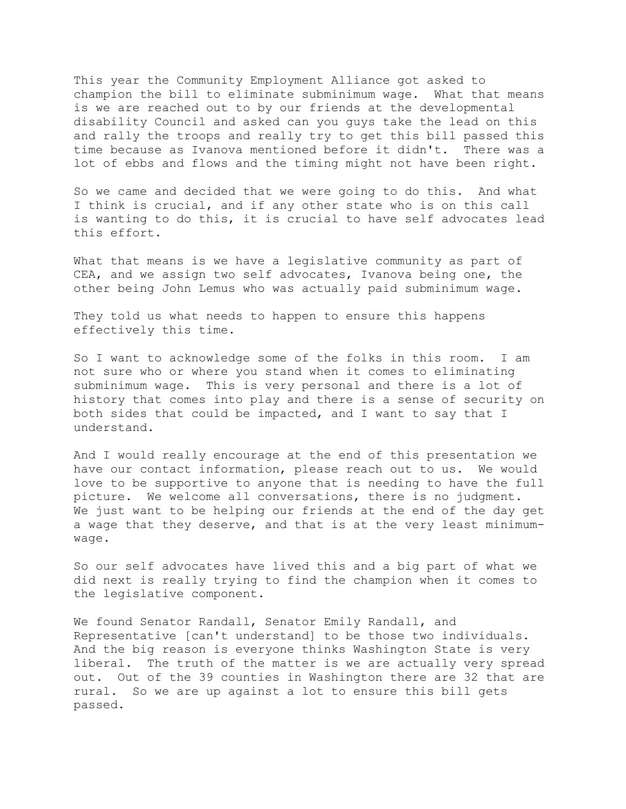This year the Community Employment Alliance got asked to champion the bill to eliminate subminimum wage. What that means is we are reached out to by our friends at the developmental disability Council and asked can you guys take the lead on this and rally the troops and really try to get this bill passed this time because as Ivanova mentioned before it didn't. There was a lot of ebbs and flows and the timing might not have been right.

So we came and decided that we were going to do this. And what I think is crucial, and if any other state who is on this call is wanting to do this, it is crucial to have self advocates lead this effort.

What that means is we have a legislative community as part of CEA, and we assign two self advocates, Ivanova being one, the other being John Lemus who was actually paid subminimum wage.

They told us what needs to happen to ensure this happens effectively this time.

So I want to acknowledge some of the folks in this room. I am not sure who or where you stand when it comes to eliminating subminimum wage. This is very personal and there is a lot of history that comes into play and there is a sense of security on both sides that could be impacted, and I want to say that I understand.

And I would really encourage at the end of this presentation we have our contact information, please reach out to us. We would love to be supportive to anyone that is needing to have the full picture. We welcome all conversations, there is no judgment. We just want to be helping our friends at the end of the day get a wage that they deserve, and that is at the very least minimumwage.

So our self advocates have lived this and a big part of what we did next is really trying to find the champion when it comes to the legislative component.

We found Senator Randall, Senator Emily Randall, and Representative [can't understand] to be those two individuals. And the big reason is everyone thinks Washington State is very liberal. The truth of the matter is we are actually very spread out. Out of the 39 counties in Washington there are 32 that are rural. So we are up against a lot to ensure this bill gets passed.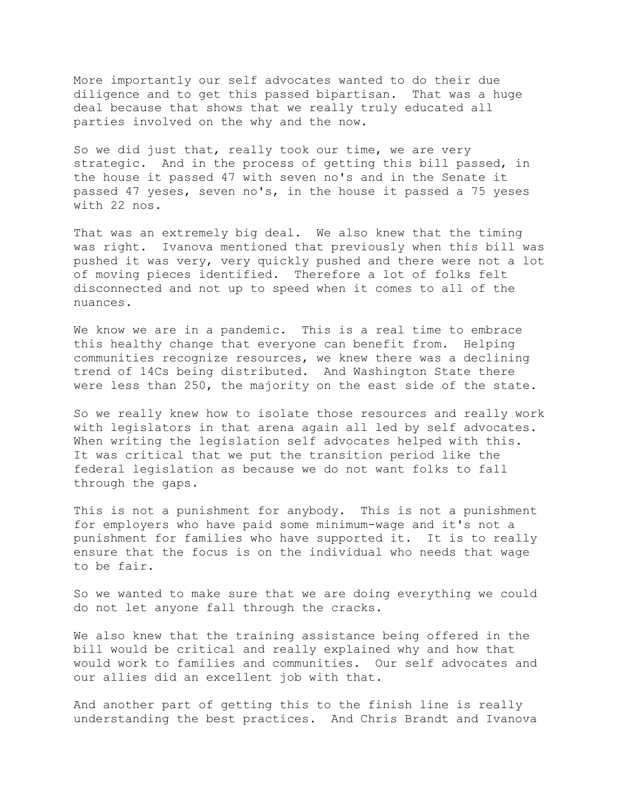More importantly our self advocates wanted to do their due diligence and to get this passed bipartisan. That was a huge deal because that shows that we really truly educated all parties involved on the why and the now.

So we did just that, really took our time, we are very strategic. And in the process of getting this bill passed, in the house it passed 47 with seven no's and in the Senate it passed 47 yeses, seven no's, in the house it passed a 75 yeses with 22 nos.

That was an extremely big deal. We also knew that the timing was right. Ivanova mentioned that previously when this bill was pushed it was very, very quickly pushed and there were not a lot of moving pieces identified. Therefore a lot of folks felt disconnected and not up to speed when it comes to all of the nuances.

We know we are in a pandemic. This is a real time to embrace this healthy change that everyone can benefit from. Helping communities recognize resources, we knew there was a declining trend of 14Cs being distributed. And Washington State there were less than 250, the majority on the east side of the state.

So we really knew how to isolate those resources and really work with legislators in that arena again all led by self advocates. When writing the legislation self advocates helped with this. It was critical that we put the transition period like the federal legislation as because we do not want folks to fall through the gaps.

This is not a punishment for anybody. This is not a punishment for employers who have paid some minimum-wage and it's not a punishment for families who have supported it. It is to really ensure that the focus is on the individual who needs that wage to be fair.

So we wanted to make sure that we are doing everything we could do not let anyone fall through the cracks.

We also knew that the training assistance being offered in the bill would be critical and really explained why and how that would work to families and communities. Our self advocates and our allies did an excellent job with that.

And another part of getting this to the finish line is really understanding the best practices. And Chris Brandt and Ivanova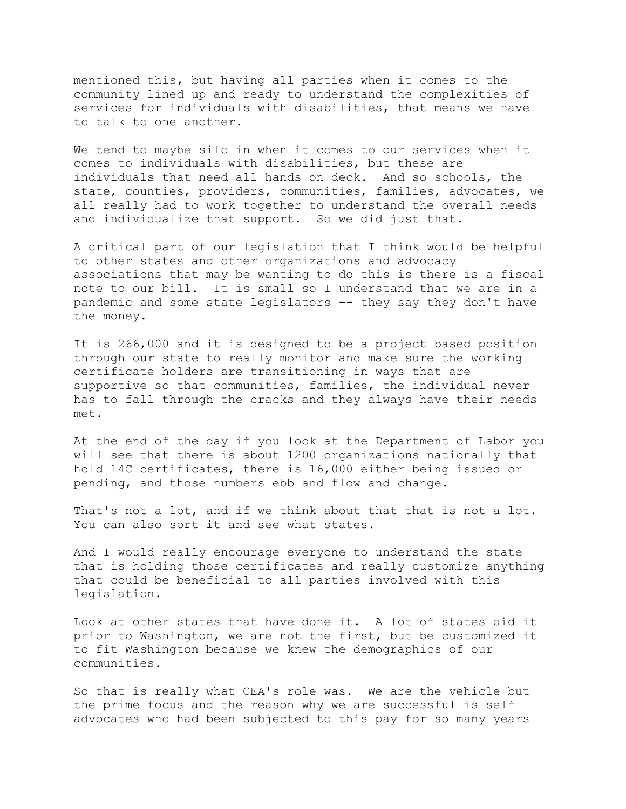mentioned this, but having all parties when it comes to the community lined up and ready to understand the complexities of services for individuals with disabilities, that means we have to talk to one another.

We tend to maybe silo in when it comes to our services when it comes to individuals with disabilities, but these are individuals that need all hands on deck. And so schools, the state, counties, providers, communities, families, advocates, we all really had to work together to understand the overall needs and individualize that support. So we did just that.

A critical part of our legislation that I think would be helpful to other states and other organizations and advocacy associations that may be wanting to do this is there is a fiscal note to our bill. It is small so I understand that we are in a pandemic and some state legislators -- they say they don't have the money.

It is 266,000 and it is designed to be a project based position through our state to really monitor and make sure the working certificate holders are transitioning in ways that are supportive so that communities, families, the individual never has to fall through the cracks and they always have their needs met.

At the end of the day if you look at the Department of Labor you will see that there is about 1200 organizations nationally that hold 14C certificates, there is 16,000 either being issued or pending, and those numbers ebb and flow and change.

That's not a lot, and if we think about that that is not a lot. You can also sort it and see what states.

And I would really encourage everyone to understand the state that is holding those certificates and really customize anything that could be beneficial to all parties involved with this legislation.

Look at other states that have done it. A lot of states did it prior to Washington, we are not the first, but be customized it to fit Washington because we knew the demographics of our communities.

So that is really what CEA's role was. We are the vehicle but the prime focus and the reason why we are successful is self advocates who had been subjected to this pay for so many years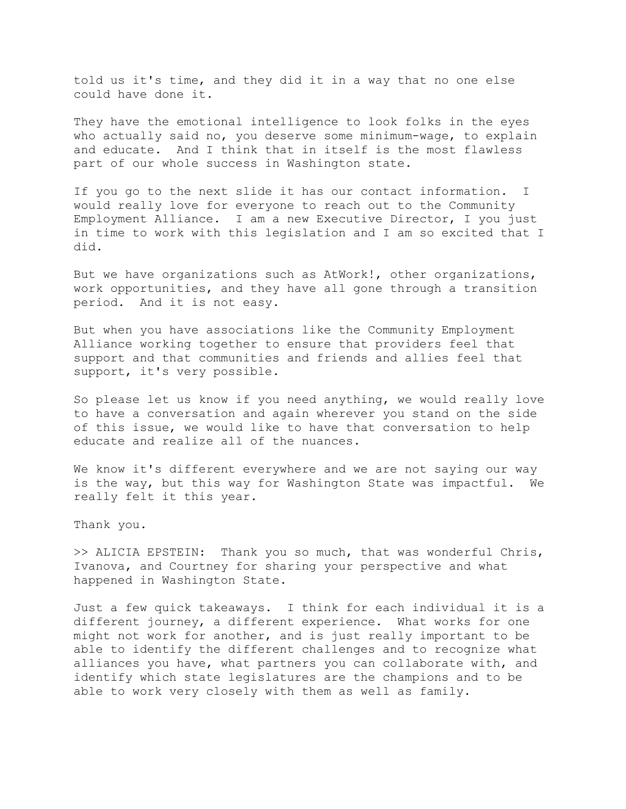told us it's time, and they did it in a way that no one else could have done it.

They have the emotional intelligence to look folks in the eyes who actually said no, you deserve some minimum-wage, to explain and educate. And I think that in itself is the most flawless part of our whole success in Washington state.

If you go to the next slide it has our contact information. I would really love for everyone to reach out to the Community Employment Alliance. I am a new Executive Director, I you just in time to work with this legislation and I am so excited that I did.

But we have organizations such as AtWork!, other organizations, work opportunities, and they have all gone through a transition period. And it is not easy.

But when you have associations like the Community Employment Alliance working together to ensure that providers feel that support and that communities and friends and allies feel that support, it's very possible.

So please let us know if you need anything, we would really love to have a conversation and again wherever you stand on the side of this issue, we would like to have that conversation to help educate and realize all of the nuances.

We know it's different everywhere and we are not saying our way is the way, but this way for Washington State was impactful. We really felt it this year.

Thank you.

>> ALICIA EPSTEIN: Thank you so much, that was wonderful Chris, Ivanova, and Courtney for sharing your perspective and what happened in Washington State.

Just a few quick takeaways. I think for each individual it is a different journey, a different experience. What works for one might not work for another, and is just really important to be able to identify the different challenges and to recognize what alliances you have, what partners you can collaborate with, and identify which state legislatures are the champions and to be able to work very closely with them as well as family.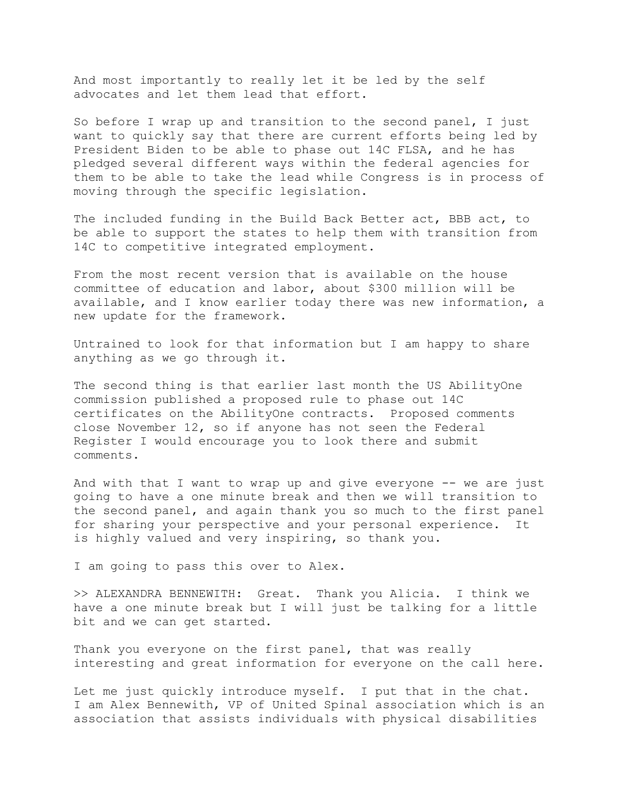And most importantly to really let it be led by the self advocates and let them lead that effort.

So before I wrap up and transition to the second panel, I just want to quickly say that there are current efforts being led by President Biden to be able to phase out 14C FLSA, and he has pledged several different ways within the federal agencies for them to be able to take the lead while Congress is in process of moving through the specific legislation.

The included funding in the Build Back Better act, BBB act, to be able to support the states to help them with transition from 14C to competitive integrated employment.

From the most recent version that is available on the house committee of education and labor, about \$300 million will be available, and I know earlier today there was new information, a new update for the framework.

Untrained to look for that information but I am happy to share anything as we go through it.

The second thing is that earlier last month the US AbilityOne commission published a proposed rule to phase out 14C certificates on the AbilityOne contracts. Proposed comments close November 12, so if anyone has not seen the Federal Register I would encourage you to look there and submit comments.

And with that I want to wrap up and give everyone -- we are just going to have a one minute break and then we will transition to the second panel, and again thank you so much to the first panel for sharing your perspective and your personal experience. It is highly valued and very inspiring, so thank you.

I am going to pass this over to Alex.

>> ALEXANDRA BENNEWITH: Great. Thank you Alicia. I think we have a one minute break but I will just be talking for a little bit and we can get started.

Thank you everyone on the first panel, that was really interesting and great information for everyone on the call here.

Let me just quickly introduce myself. I put that in the chat. I am Alex Bennewith, VP of United Spinal association which is an association that assists individuals with physical disabilities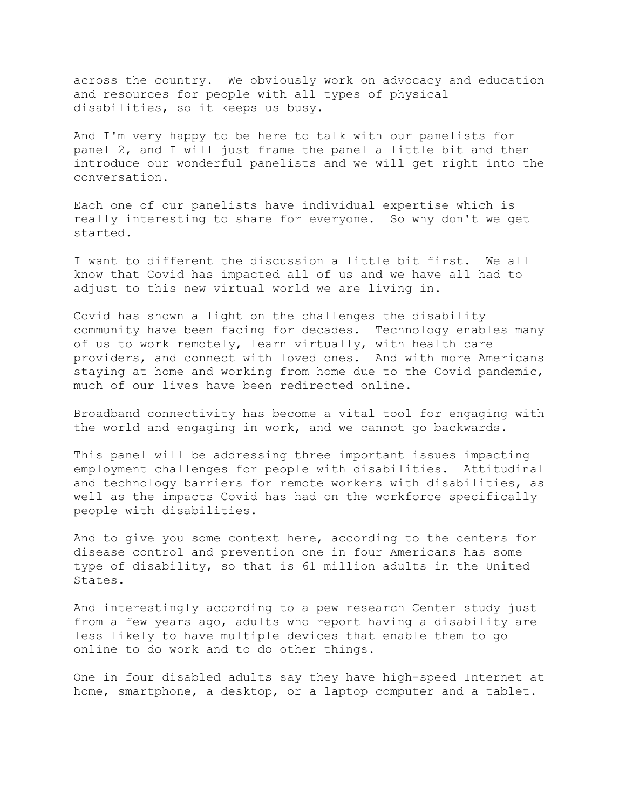across the country. We obviously work on advocacy and education and resources for people with all types of physical disabilities, so it keeps us busy.

And I'm very happy to be here to talk with our panelists for panel 2, and I will just frame the panel a little bit and then introduce our wonderful panelists and we will get right into the conversation.

Each one of our panelists have individual expertise which is really interesting to share for everyone. So why don't we get started.

I want to different the discussion a little bit first. We all know that Covid has impacted all of us and we have all had to adjust to this new virtual world we are living in.

Covid has shown a light on the challenges the disability community have been facing for decades. Technology enables many of us to work remotely, learn virtually, with health care providers, and connect with loved ones. And with more Americans staying at home and working from home due to the Covid pandemic, much of our lives have been redirected online.

Broadband connectivity has become a vital tool for engaging with the world and engaging in work, and we cannot go backwards.

This panel will be addressing three important issues impacting employment challenges for people with disabilities. Attitudinal and technology barriers for remote workers with disabilities, as well as the impacts Covid has had on the workforce specifically people with disabilities.

And to give you some context here, according to the centers for disease control and prevention one in four Americans has some type of disability, so that is 61 million adults in the United States.

And interestingly according to a pew research Center study just from a few years ago, adults who report having a disability are less likely to have multiple devices that enable them to go online to do work and to do other things.

One in four disabled adults say they have high-speed Internet at home, smartphone, a desktop, or a laptop computer and a tablet.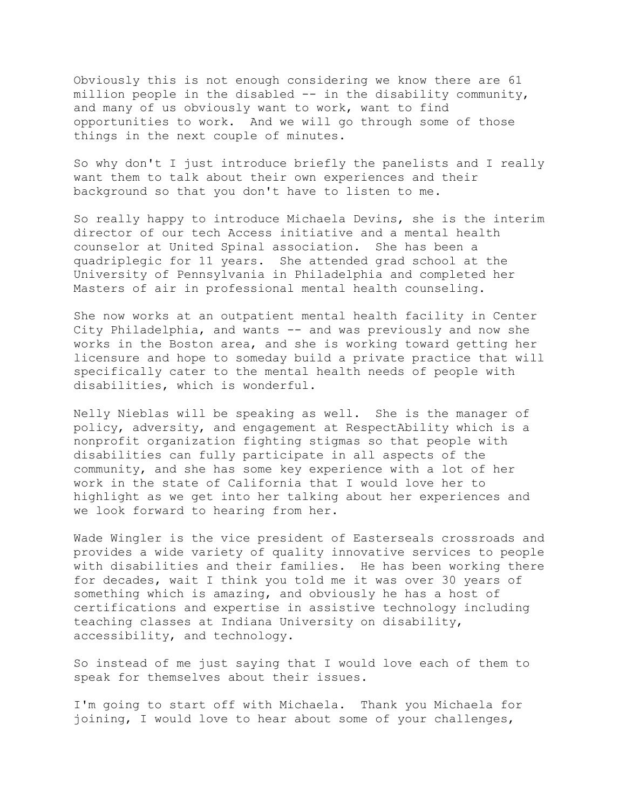Obviously this is not enough considering we know there are 61 million people in the disabled -- in the disability community, and many of us obviously want to work, want to find opportunities to work. And we will go through some of those things in the next couple of minutes.

So why don't I just introduce briefly the panelists and I really want them to talk about their own experiences and their background so that you don't have to listen to me.

So really happy to introduce Michaela Devins, she is the interim director of our tech Access initiative and a mental health counselor at United Spinal association. She has been a quadriplegic for 11 years. She attended grad school at the University of Pennsylvania in Philadelphia and completed her Masters of air in professional mental health counseling.

She now works at an outpatient mental health facility in Center City Philadelphia, and wants -- and was previously and now she works in the Boston area, and she is working toward getting her licensure and hope to someday build a private practice that will specifically cater to the mental health needs of people with disabilities, which is wonderful.

Nelly Nieblas will be speaking as well. She is the manager of policy, adversity, and engagement at RespectAbility which is a nonprofit organization fighting stigmas so that people with disabilities can fully participate in all aspects of the community, and she has some key experience with a lot of her work in the state of California that I would love her to highlight as we get into her talking about her experiences and we look forward to hearing from her.

Wade Wingler is the vice president of Easterseals crossroads and provides a wide variety of quality innovative services to people with disabilities and their families. He has been working there for decades, wait I think you told me it was over 30 years of something which is amazing, and obviously he has a host of certifications and expertise in assistive technology including teaching classes at Indiana University on disability, accessibility, and technology.

So instead of me just saying that I would love each of them to speak for themselves about their issues.

I'm going to start off with Michaela. Thank you Michaela for joining, I would love to hear about some of your challenges,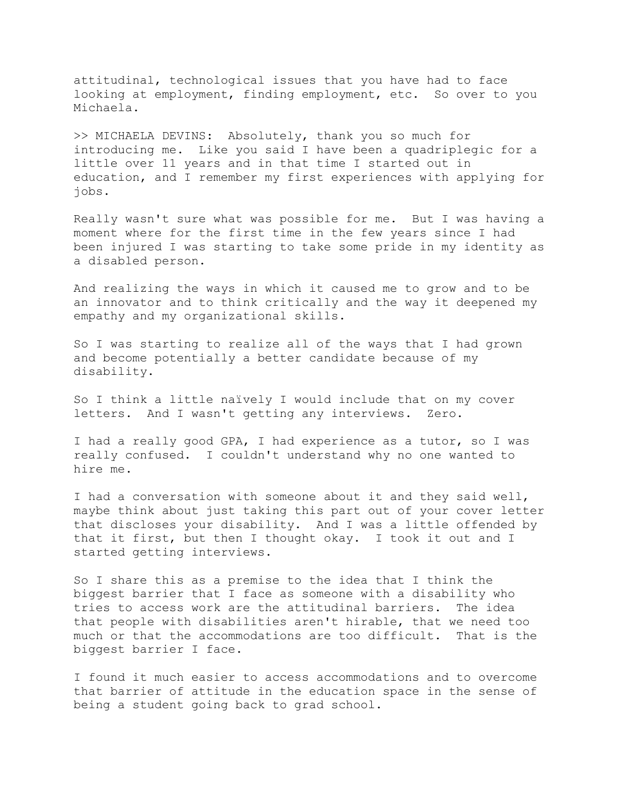attitudinal, technological issues that you have had to face looking at employment, finding employment, etc. So over to you Michaela.

>> MICHAELA DEVINS: Absolutely, thank you so much for introducing me. Like you said I have been a quadriplegic for a little over 11 years and in that time I started out in education, and I remember my first experiences with applying for jobs.

Really wasn't sure what was possible for me. But I was having a moment where for the first time in the few years since I had been injured I was starting to take some pride in my identity as a disabled person.

And realizing the ways in which it caused me to grow and to be an innovator and to think critically and the way it deepened my empathy and my organizational skills.

So I was starting to realize all of the ways that I had grown and become potentially a better candidate because of my disability.

So I think a little naïvely I would include that on my cover letters. And I wasn't getting any interviews. Zero.

I had a really good GPA, I had experience as a tutor, so I was really confused. I couldn't understand why no one wanted to hire me.

I had a conversation with someone about it and they said well, maybe think about just taking this part out of your cover letter that discloses your disability. And I was a little offended by that it first, but then I thought okay. I took it out and I started getting interviews.

So I share this as a premise to the idea that I think the biggest barrier that I face as someone with a disability who tries to access work are the attitudinal barriers. The idea that people with disabilities aren't hirable, that we need too much or that the accommodations are too difficult. That is the biggest barrier I face.

I found it much easier to access accommodations and to overcome that barrier of attitude in the education space in the sense of being a student going back to grad school.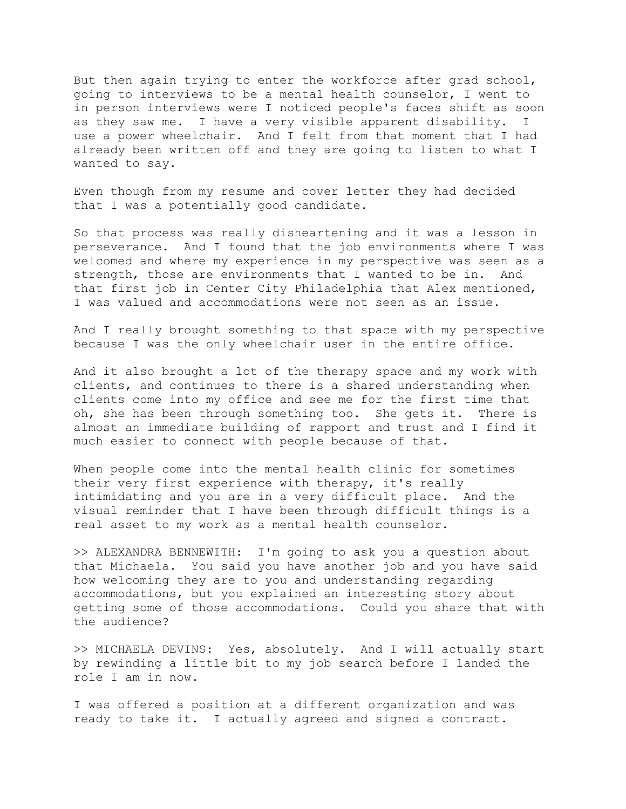But then again trying to enter the workforce after grad school, going to interviews to be a mental health counselor, I went to in person interviews were I noticed people's faces shift as soon as they saw me. I have a very visible apparent disability. I use a power wheelchair. And I felt from that moment that I had already been written off and they are going to listen to what I wanted to say.

Even though from my resume and cover letter they had decided that I was a potentially good candidate.

So that process was really disheartening and it was a lesson in perseverance. And I found that the job environments where I was welcomed and where my experience in my perspective was seen as a strength, those are environments that I wanted to be in. And that first job in Center City Philadelphia that Alex mentioned, I was valued and accommodations were not seen as an issue.

And I really brought something to that space with my perspective because I was the only wheelchair user in the entire office.

And it also brought a lot of the therapy space and my work with clients, and continues to there is a shared understanding when clients come into my office and see me for the first time that oh, she has been through something too. She gets it. There is almost an immediate building of rapport and trust and I find it much easier to connect with people because of that.

When people come into the mental health clinic for sometimes their very first experience with therapy, it's really intimidating and you are in a very difficult place. And the visual reminder that I have been through difficult things is a real asset to my work as a mental health counselor.

>> ALEXANDRA BENNEWITH: I'm going to ask you a question about that Michaela. You said you have another job and you have said how welcoming they are to you and understanding regarding accommodations, but you explained an interesting story about getting some of those accommodations. Could you share that with the audience?

>> MICHAELA DEVINS: Yes, absolutely. And I will actually start by rewinding a little bit to my job search before I landed the role I am in now.

I was offered a position at a different organization and was ready to take it. I actually agreed and signed a contract.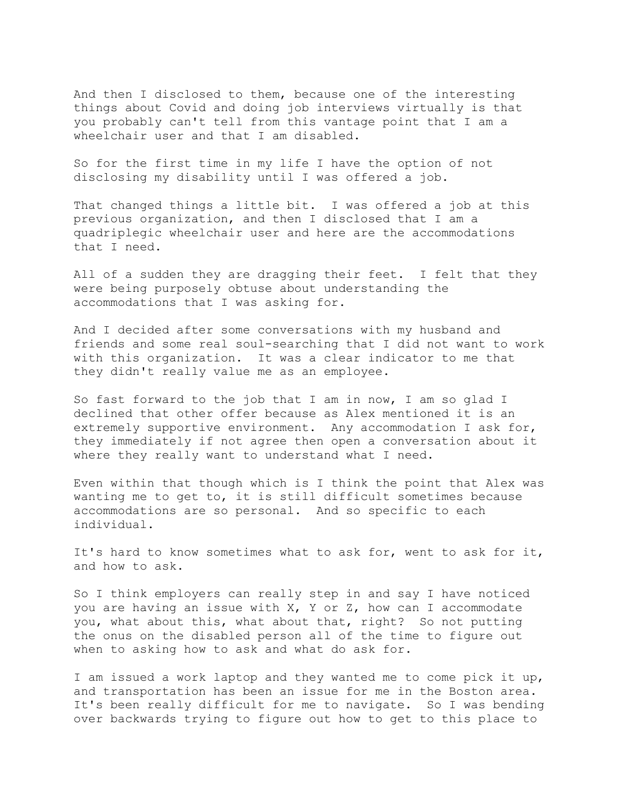And then I disclosed to them, because one of the interesting things about Covid and doing job interviews virtually is that you probably can't tell from this vantage point that I am a wheelchair user and that I am disabled.

So for the first time in my life I have the option of not disclosing my disability until I was offered a job.

That changed things a little bit. I was offered a job at this previous organization, and then I disclosed that I am a quadriplegic wheelchair user and here are the accommodations that I need.

All of a sudden they are dragging their feet. I felt that they were being purposely obtuse about understanding the accommodations that I was asking for.

And I decided after some conversations with my husband and friends and some real soul-searching that I did not want to work with this organization. It was a clear indicator to me that they didn't really value me as an employee.

So fast forward to the job that I am in now, I am so glad I declined that other offer because as Alex mentioned it is an extremely supportive environment. Any accommodation I ask for, they immediately if not agree then open a conversation about it where they really want to understand what I need.

Even within that though which is I think the point that Alex was wanting me to get to, it is still difficult sometimes because accommodations are so personal. And so specific to each individual.

It's hard to know sometimes what to ask for, went to ask for it, and how to ask.

So I think employers can really step in and say I have noticed you are having an issue with X, Y or Z, how can I accommodate you, what about this, what about that, right? So not putting the onus on the disabled person all of the time to figure out when to asking how to ask and what do ask for.

I am issued a work laptop and they wanted me to come pick it up, and transportation has been an issue for me in the Boston area. It's been really difficult for me to navigate. So I was bending over backwards trying to figure out how to get to this place to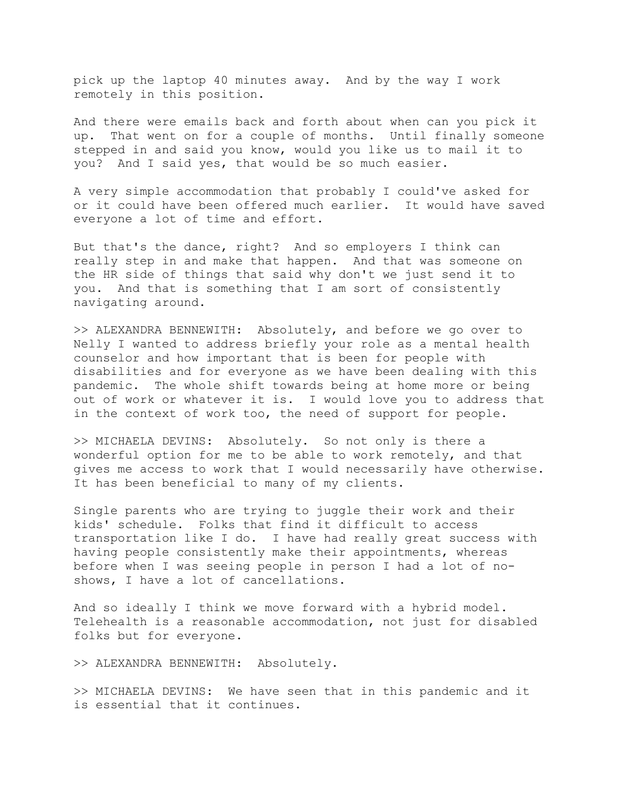pick up the laptop 40 minutes away. And by the way I work remotely in this position.

And there were emails back and forth about when can you pick it up. That went on for a couple of months. Until finally someone stepped in and said you know, would you like us to mail it to you? And I said yes, that would be so much easier.

A very simple accommodation that probably I could've asked for or it could have been offered much earlier. It would have saved everyone a lot of time and effort.

But that's the dance, right? And so employers I think can really step in and make that happen. And that was someone on the HR side of things that said why don't we just send it to you. And that is something that I am sort of consistently navigating around.

>> ALEXANDRA BENNEWITH: Absolutely, and before we go over to Nelly I wanted to address briefly your role as a mental health counselor and how important that is been for people with disabilities and for everyone as we have been dealing with this pandemic. The whole shift towards being at home more or being out of work or whatever it is. I would love you to address that in the context of work too, the need of support for people.

>> MICHAELA DEVINS: Absolutely. So not only is there a wonderful option for me to be able to work remotely, and that gives me access to work that I would necessarily have otherwise. It has been beneficial to many of my clients.

Single parents who are trying to juggle their work and their kids' schedule. Folks that find it difficult to access transportation like I do. I have had really great success with having people consistently make their appointments, whereas before when I was seeing people in person I had a lot of noshows, I have a lot of cancellations.

And so ideally I think we move forward with a hybrid model. Telehealth is a reasonable accommodation, not just for disabled folks but for everyone.

>> ALEXANDRA BENNEWITH: Absolutely.

>> MICHAELA DEVINS: We have seen that in this pandemic and it is essential that it continues.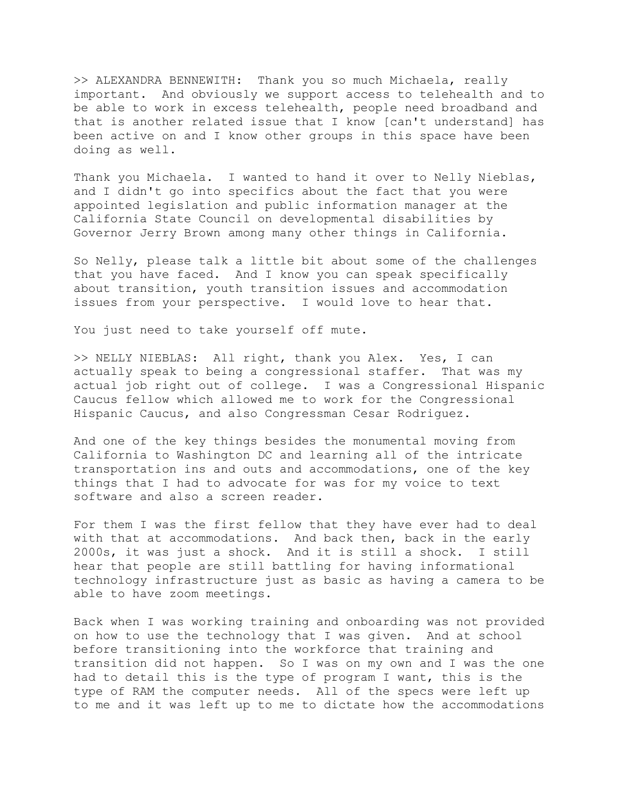>> ALEXANDRA BENNEWITH: Thank you so much Michaela, really important. And obviously we support access to telehealth and to be able to work in excess telehealth, people need broadband and that is another related issue that I know [can't understand] has been active on and I know other groups in this space have been doing as well.

Thank you Michaela. I wanted to hand it over to Nelly Nieblas, and I didn't go into specifics about the fact that you were appointed legislation and public information manager at the California State Council on developmental disabilities by Governor Jerry Brown among many other things in California.

So Nelly, please talk a little bit about some of the challenges that you have faced. And I know you can speak specifically about transition, youth transition issues and accommodation issues from your perspective. I would love to hear that.

You just need to take yourself off mute.

>> NELLY NIEBLAS: All right, thank you Alex. Yes, I can actually speak to being a congressional staffer. That was my actual job right out of college. I was a Congressional Hispanic Caucus fellow which allowed me to work for the Congressional Hispanic Caucus, and also Congressman Cesar Rodriguez.

And one of the key things besides the monumental moving from California to Washington DC and learning all of the intricate transportation ins and outs and accommodations, one of the key things that I had to advocate for was for my voice to text software and also a screen reader.

For them I was the first fellow that they have ever had to deal with that at accommodations. And back then, back in the early 2000s, it was just a shock. And it is still a shock. I still hear that people are still battling for having informational technology infrastructure just as basic as having a camera to be able to have zoom meetings.

Back when I was working training and onboarding was not provided on how to use the technology that I was given. And at school before transitioning into the workforce that training and transition did not happen. So I was on my own and I was the one had to detail this is the type of program I want, this is the type of RAM the computer needs. All of the specs were left up to me and it was left up to me to dictate how the accommodations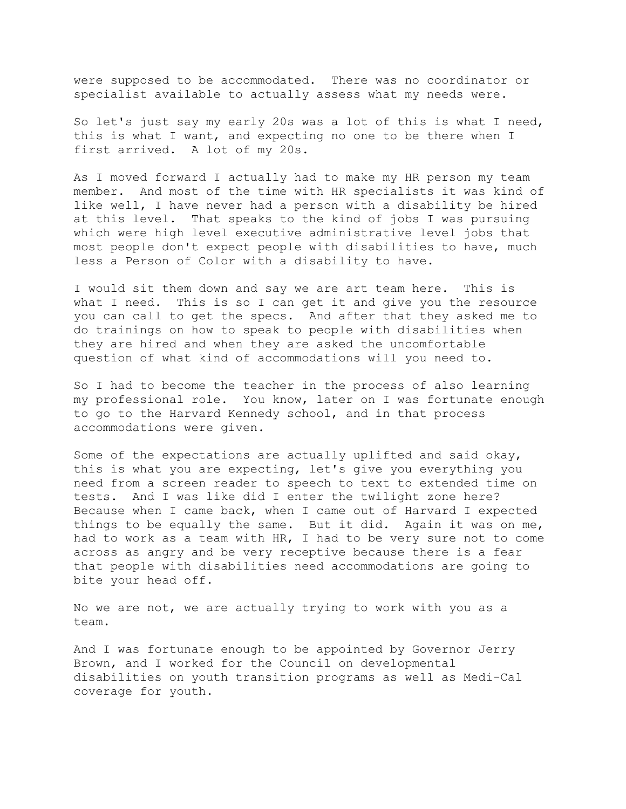were supposed to be accommodated. There was no coordinator or specialist available to actually assess what my needs were.

So let's just say my early 20s was a lot of this is what I need, this is what I want, and expecting no one to be there when I first arrived. A lot of my 20s.

As I moved forward I actually had to make my HR person my team member. And most of the time with HR specialists it was kind of like well, I have never had a person with a disability be hired at this level. That speaks to the kind of jobs I was pursuing which were high level executive administrative level jobs that most people don't expect people with disabilities to have, much less a Person of Color with a disability to have.

I would sit them down and say we are art team here. This is what I need. This is so I can get it and give you the resource you can call to get the specs. And after that they asked me to do trainings on how to speak to people with disabilities when they are hired and when they are asked the uncomfortable question of what kind of accommodations will you need to.

So I had to become the teacher in the process of also learning my professional role. You know, later on I was fortunate enough to go to the Harvard Kennedy school, and in that process accommodations were given.

Some of the expectations are actually uplifted and said okay, this is what you are expecting, let's give you everything you need from a screen reader to speech to text to extended time on tests. And I was like did I enter the twilight zone here? Because when I came back, when I came out of Harvard I expected things to be equally the same. But it did. Again it was on me, had to work as a team with HR, I had to be very sure not to come across as angry and be very receptive because there is a fear that people with disabilities need accommodations are going to bite your head off.

No we are not, we are actually trying to work with you as a team.

And I was fortunate enough to be appointed by Governor Jerry Brown, and I worked for the Council on developmental disabilities on youth transition programs as well as Medi-Cal coverage for youth.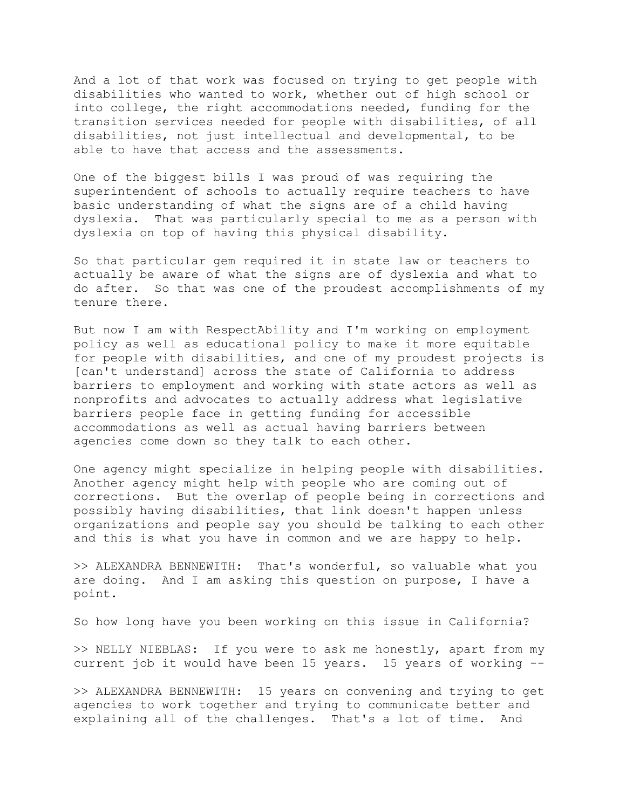And a lot of that work was focused on trying to get people with disabilities who wanted to work, whether out of high school or into college, the right accommodations needed, funding for the transition services needed for people with disabilities, of all disabilities, not just intellectual and developmental, to be able to have that access and the assessments.

One of the biggest bills I was proud of was requiring the superintendent of schools to actually require teachers to have basic understanding of what the signs are of a child having dyslexia. That was particularly special to me as a person with dyslexia on top of having this physical disability.

So that particular gem required it in state law or teachers to actually be aware of what the signs are of dyslexia and what to do after. So that was one of the proudest accomplishments of my tenure there.

But now I am with RespectAbility and I'm working on employment policy as well as educational policy to make it more equitable for people with disabilities, and one of my proudest projects is [can't understand] across the state of California to address barriers to employment and working with state actors as well as nonprofits and advocates to actually address what legislative barriers people face in getting funding for accessible accommodations as well as actual having barriers between agencies come down so they talk to each other.

One agency might specialize in helping people with disabilities. Another agency might help with people who are coming out of corrections. But the overlap of people being in corrections and possibly having disabilities, that link doesn't happen unless organizations and people say you should be talking to each other and this is what you have in common and we are happy to help.

>> ALEXANDRA BENNEWITH: That's wonderful, so valuable what you are doing. And I am asking this question on purpose, I have a point.

So how long have you been working on this issue in California?

>> NELLY NIEBLAS: If you were to ask me honestly, apart from my current job it would have been 15 years. 15 years of working --

>> ALEXANDRA BENNEWITH: 15 years on convening and trying to get agencies to work together and trying to communicate better and explaining all of the challenges. That's a lot of time. And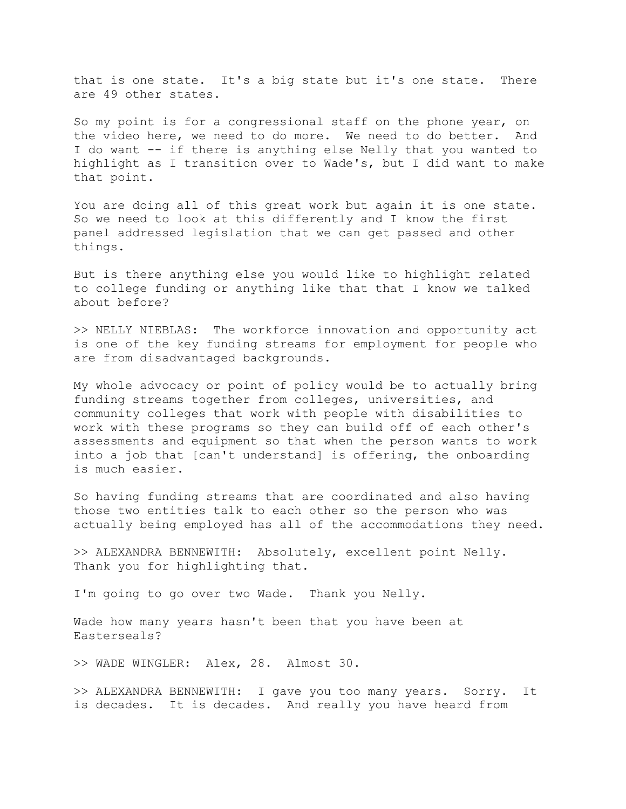that is one state. It's a big state but it's one state. There are 49 other states.

So my point is for a congressional staff on the phone year, on the video here, we need to do more. We need to do better. And I do want -- if there is anything else Nelly that you wanted to highlight as I transition over to Wade's, but I did want to make that point.

You are doing all of this great work but again it is one state. So we need to look at this differently and I know the first panel addressed legislation that we can get passed and other things.

But is there anything else you would like to highlight related to college funding or anything like that that I know we talked about before?

>> NELLY NIEBLAS: The workforce innovation and opportunity act is one of the key funding streams for employment for people who are from disadvantaged backgrounds.

My whole advocacy or point of policy would be to actually bring funding streams together from colleges, universities, and community colleges that work with people with disabilities to work with these programs so they can build off of each other's assessments and equipment so that when the person wants to work into a job that [can't understand] is offering, the onboarding is much easier.

So having funding streams that are coordinated and also having those two entities talk to each other so the person who was actually being employed has all of the accommodations they need.

>> ALEXANDRA BENNEWITH: Absolutely, excellent point Nelly. Thank you for highlighting that.

I'm going to go over two Wade. Thank you Nelly.

Wade how many years hasn't been that you have been at Easterseals?

>> WADE WINGLER: Alex, 28. Almost 30.

>> ALEXANDRA BENNEWITH: I gave you too many years. Sorry. It is decades. It is decades. And really you have heard from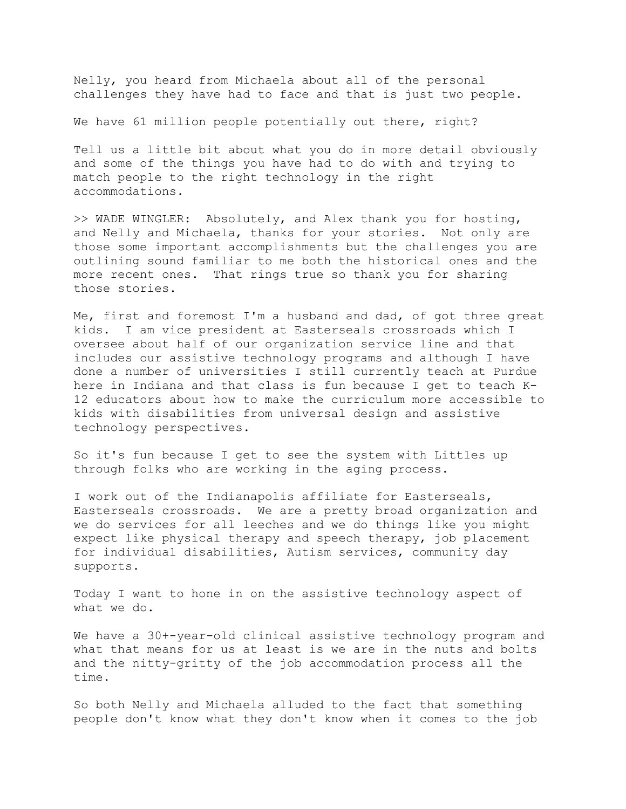Nelly, you heard from Michaela about all of the personal challenges they have had to face and that is just two people.

We have 61 million people potentially out there, right?

Tell us a little bit about what you do in more detail obviously and some of the things you have had to do with and trying to match people to the right technology in the right accommodations.

>> WADE WINGLER: Absolutely, and Alex thank you for hosting, and Nelly and Michaela, thanks for your stories. Not only are those some important accomplishments but the challenges you are outlining sound familiar to me both the historical ones and the more recent ones. That rings true so thank you for sharing those stories.

Me, first and foremost I'm a husband and dad, of got three great kids. I am vice president at Easterseals crossroads which I oversee about half of our organization service line and that includes our assistive technology programs and although I have done a number of universities I still currently teach at Purdue here in Indiana and that class is fun because I get to teach K-12 educators about how to make the curriculum more accessible to kids with disabilities from universal design and assistive technology perspectives.

So it's fun because I get to see the system with Littles up through folks who are working in the aging process.

I work out of the Indianapolis affiliate for Easterseals, Easterseals crossroads. We are a pretty broad organization and we do services for all leeches and we do things like you might expect like physical therapy and speech therapy, job placement for individual disabilities, Autism services, community day supports.

Today I want to hone in on the assistive technology aspect of what we do.

We have a 30+-year-old clinical assistive technology program and what that means for us at least is we are in the nuts and bolts and the nitty-gritty of the job accommodation process all the time.

So both Nelly and Michaela alluded to the fact that something people don't know what they don't know when it comes to the job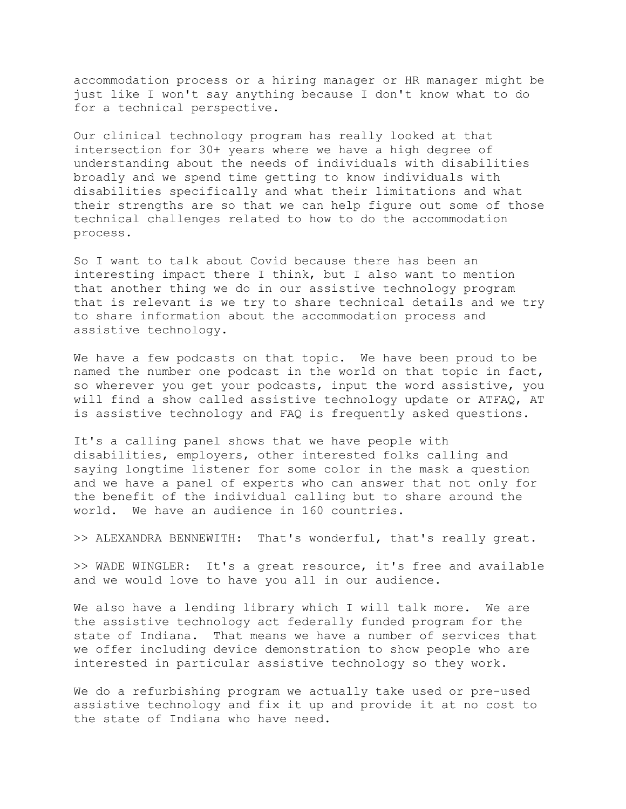accommodation process or a hiring manager or HR manager might be just like I won't say anything because I don't know what to do for a technical perspective.

Our clinical technology program has really looked at that intersection for 30+ years where we have a high degree of understanding about the needs of individuals with disabilities broadly and we spend time getting to know individuals with disabilities specifically and what their limitations and what their strengths are so that we can help figure out some of those technical challenges related to how to do the accommodation process.

So I want to talk about Covid because there has been an interesting impact there I think, but I also want to mention that another thing we do in our assistive technology program that is relevant is we try to share technical details and we try to share information about the accommodation process and assistive technology.

We have a few podcasts on that topic. We have been proud to be named the number one podcast in the world on that topic in fact, so wherever you get your podcasts, input the word assistive, you will find a show called assistive technology update or ATFAQ, AT is assistive technology and FAQ is frequently asked questions.

It's a calling panel shows that we have people with disabilities, employers, other interested folks calling and saying longtime listener for some color in the mask a question and we have a panel of experts who can answer that not only for the benefit of the individual calling but to share around the world. We have an audience in 160 countries.

>> ALEXANDRA BENNEWITH: That's wonderful, that's really great.

>> WADE WINGLER: It's a great resource, it's free and available and we would love to have you all in our audience.

We also have a lending library which I will talk more. We are the assistive technology act federally funded program for the state of Indiana. That means we have a number of services that we offer including device demonstration to show people who are interested in particular assistive technology so they work.

We do a refurbishing program we actually take used or pre-used assistive technology and fix it up and provide it at no cost to the state of Indiana who have need.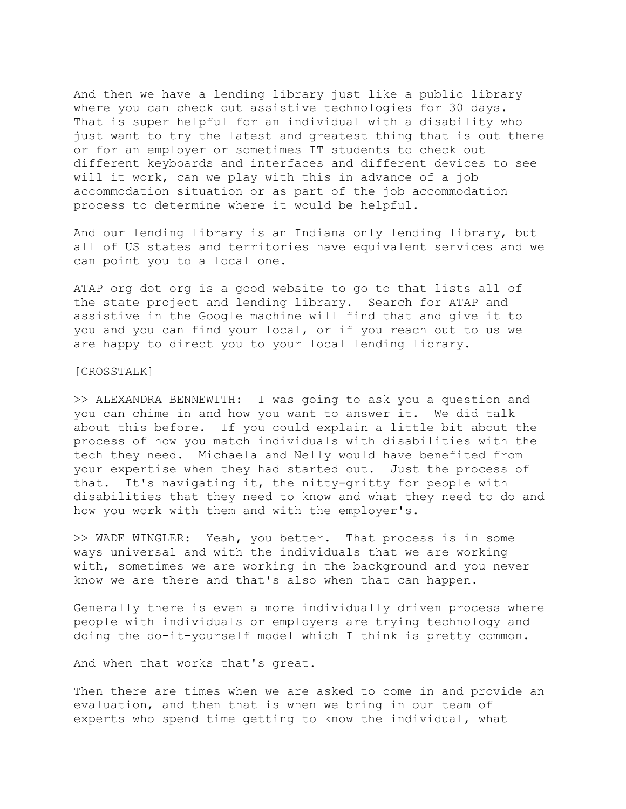And then we have a lending library just like a public library where you can check out assistive technologies for 30 days. That is super helpful for an individual with a disability who just want to try the latest and greatest thing that is out there or for an employer or sometimes IT students to check out different keyboards and interfaces and different devices to see will it work, can we play with this in advance of a job accommodation situation or as part of the job accommodation process to determine where it would be helpful.

And our lending library is an Indiana only lending library, but all of US states and territories have equivalent services and we can point you to a local one.

ATAP org dot org is a good website to go to that lists all of the state project and lending library. Search for ATAP and assistive in the Google machine will find that and give it to you and you can find your local, or if you reach out to us we are happy to direct you to your local lending library.

## [CROSSTALK]

>> ALEXANDRA BENNEWITH: I was going to ask you a question and you can chime in and how you want to answer it. We did talk about this before. If you could explain a little bit about the process of how you match individuals with disabilities with the tech they need. Michaela and Nelly would have benefited from your expertise when they had started out. Just the process of that. It's navigating it, the nitty-gritty for people with disabilities that they need to know and what they need to do and how you work with them and with the employer's.

>> WADE WINGLER: Yeah, you better. That process is in some ways universal and with the individuals that we are working with, sometimes we are working in the background and you never know we are there and that's also when that can happen.

Generally there is even a more individually driven process where people with individuals or employers are trying technology and doing the do-it-yourself model which I think is pretty common.

And when that works that's great.

Then there are times when we are asked to come in and provide an evaluation, and then that is when we bring in our team of experts who spend time getting to know the individual, what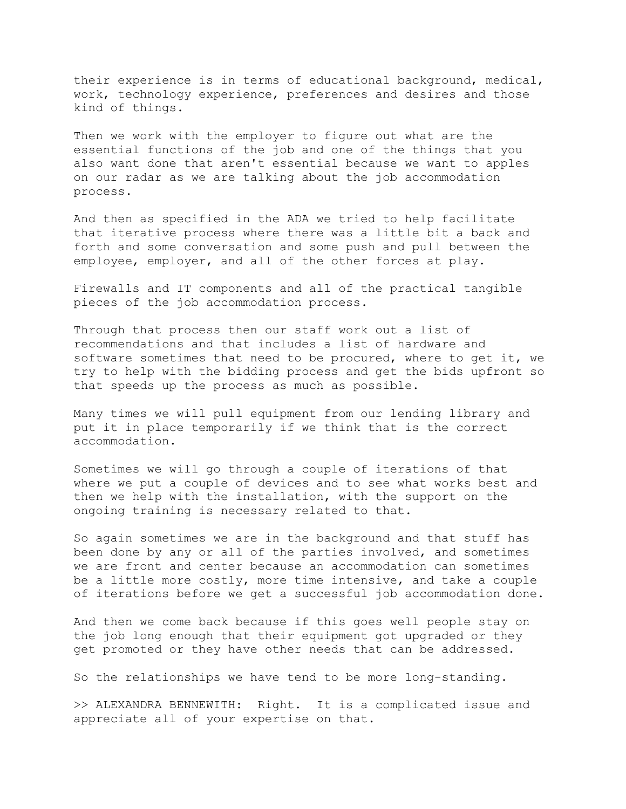their experience is in terms of educational background, medical, work, technology experience, preferences and desires and those kind of things.

Then we work with the employer to figure out what are the essential functions of the job and one of the things that you also want done that aren't essential because we want to apples on our radar as we are talking about the job accommodation process.

And then as specified in the ADA we tried to help facilitate that iterative process where there was a little bit a back and forth and some conversation and some push and pull between the employee, employer, and all of the other forces at play.

Firewalls and IT components and all of the practical tangible pieces of the job accommodation process.

Through that process then our staff work out a list of recommendations and that includes a list of hardware and software sometimes that need to be procured, where to get it, we try to help with the bidding process and get the bids upfront so that speeds up the process as much as possible.

Many times we will pull equipment from our lending library and put it in place temporarily if we think that is the correct accommodation.

Sometimes we will go through a couple of iterations of that where we put a couple of devices and to see what works best and then we help with the installation, with the support on the ongoing training is necessary related to that.

So again sometimes we are in the background and that stuff has been done by any or all of the parties involved, and sometimes we are front and center because an accommodation can sometimes be a little more costly, more time intensive, and take a couple of iterations before we get a successful job accommodation done.

And then we come back because if this goes well people stay on the job long enough that their equipment got upgraded or they get promoted or they have other needs that can be addressed.

So the relationships we have tend to be more long-standing.

>> ALEXANDRA BENNEWITH: Right. It is a complicated issue and appreciate all of your expertise on that.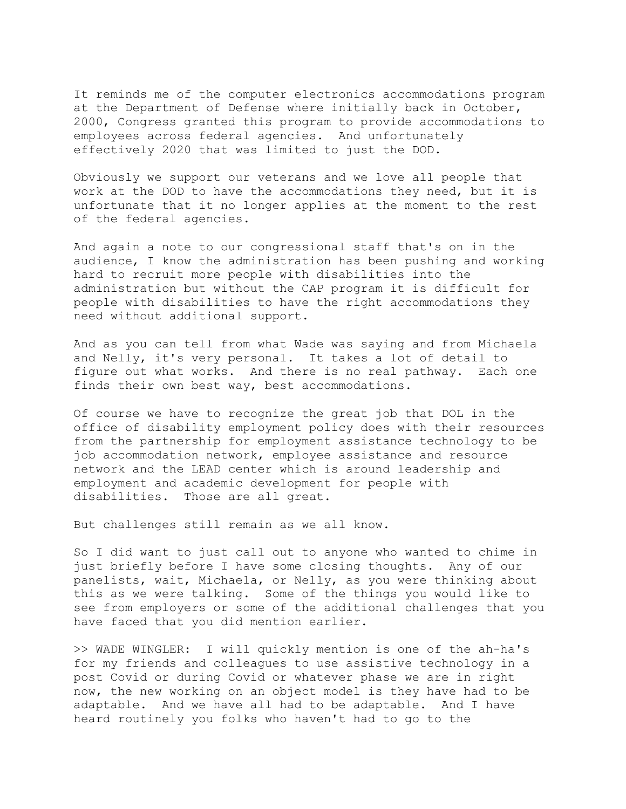It reminds me of the computer electronics accommodations program at the Department of Defense where initially back in October, 2000, Congress granted this program to provide accommodations to employees across federal agencies. And unfortunately effectively 2020 that was limited to just the DOD.

Obviously we support our veterans and we love all people that work at the DOD to have the accommodations they need, but it is unfortunate that it no longer applies at the moment to the rest of the federal agencies.

And again a note to our congressional staff that's on in the audience, I know the administration has been pushing and working hard to recruit more people with disabilities into the administration but without the CAP program it is difficult for people with disabilities to have the right accommodations they need without additional support.

And as you can tell from what Wade was saying and from Michaela and Nelly, it's very personal. It takes a lot of detail to figure out what works. And there is no real pathway. Each one finds their own best way, best accommodations.

Of course we have to recognize the great job that DOL in the office of disability employment policy does with their resources from the partnership for employment assistance technology to be job accommodation network, employee assistance and resource network and the LEAD center which is around leadership and employment and academic development for people with disabilities. Those are all great.

But challenges still remain as we all know.

So I did want to just call out to anyone who wanted to chime in just briefly before I have some closing thoughts. Any of our panelists, wait, Michaela, or Nelly, as you were thinking about this as we were talking. Some of the things you would like to see from employers or some of the additional challenges that you have faced that you did mention earlier.

>> WADE WINGLER: I will quickly mention is one of the ah-ha's for my friends and colleagues to use assistive technology in a post Covid or during Covid or whatever phase we are in right now, the new working on an object model is they have had to be adaptable. And we have all had to be adaptable. And I have heard routinely you folks who haven't had to go to the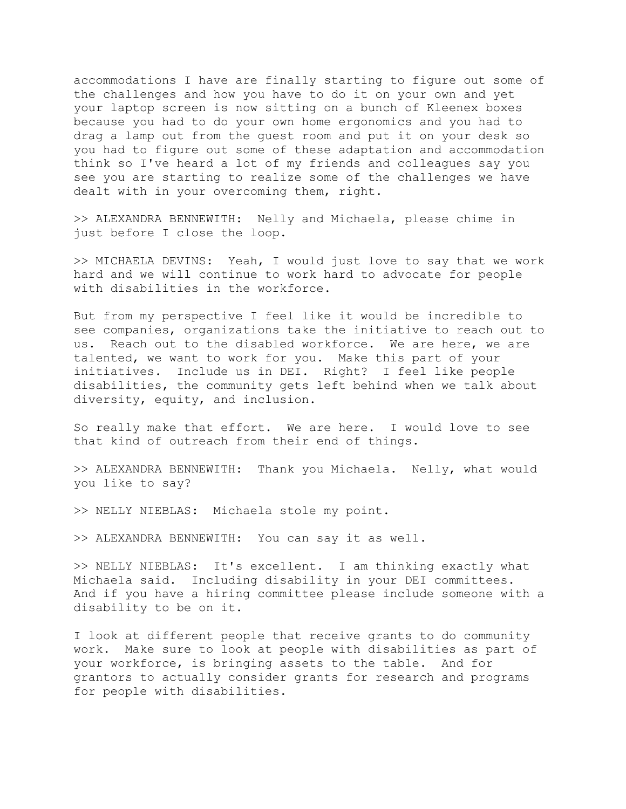accommodations I have are finally starting to figure out some of the challenges and how you have to do it on your own and yet your laptop screen is now sitting on a bunch of Kleenex boxes because you had to do your own home ergonomics and you had to drag a lamp out from the guest room and put it on your desk so you had to figure out some of these adaptation and accommodation think so I've heard a lot of my friends and colleagues say you see you are starting to realize some of the challenges we have dealt with in your overcoming them, right.

>> ALEXANDRA BENNEWITH: Nelly and Michaela, please chime in just before I close the loop.

>> MICHAELA DEVINS: Yeah, I would just love to say that we work hard and we will continue to work hard to advocate for people with disabilities in the workforce.

But from my perspective I feel like it would be incredible to see companies, organizations take the initiative to reach out to us. Reach out to the disabled workforce. We are here, we are talented, we want to work for you. Make this part of your initiatives. Include us in DEI. Right? I feel like people disabilities, the community gets left behind when we talk about diversity, equity, and inclusion.

So really make that effort. We are here. I would love to see that kind of outreach from their end of things.

>> ALEXANDRA BENNEWITH: Thank you Michaela. Nelly, what would you like to say?

>> NELLY NIEBLAS: Michaela stole my point.

>> ALEXANDRA BENNEWITH: You can say it as well.

>> NELLY NIEBLAS: It's excellent. I am thinking exactly what Michaela said. Including disability in your DEI committees. And if you have a hiring committee please include someone with a disability to be on it.

I look at different people that receive grants to do community work. Make sure to look at people with disabilities as part of your workforce, is bringing assets to the table. And for grantors to actually consider grants for research and programs for people with disabilities.